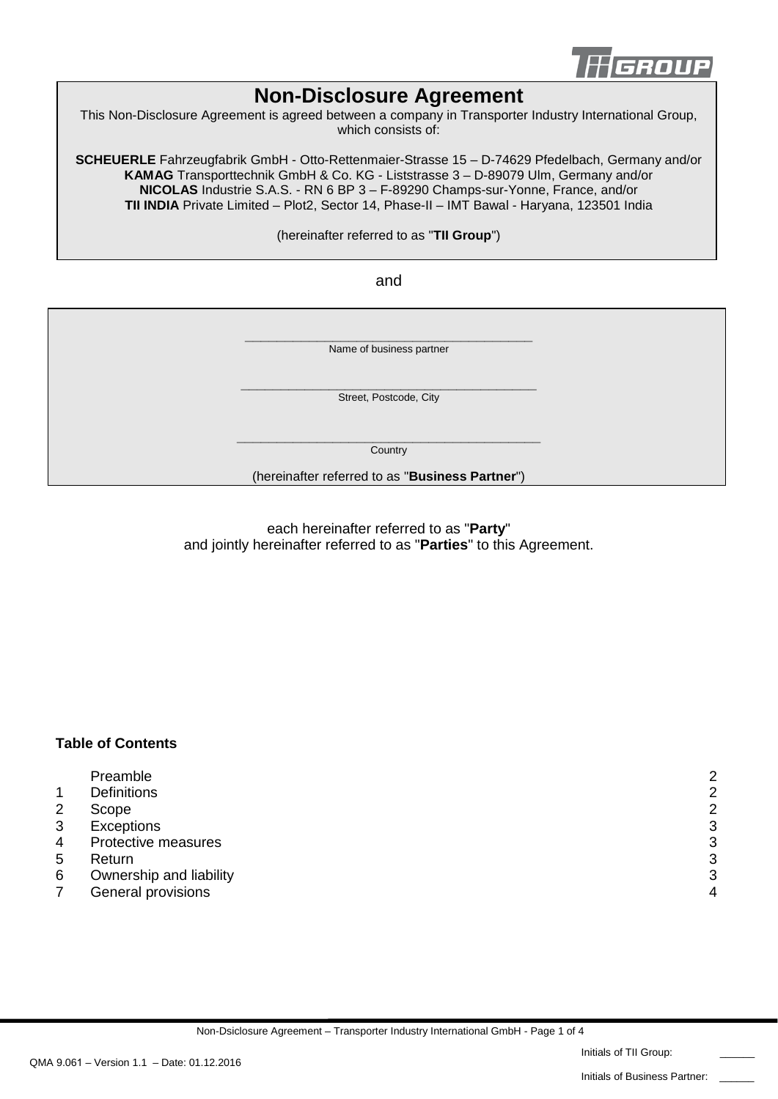

# **Non-Disclosure Agreement**

This Non-Disclosure Agreement is agreed between a company in Transporter Industry International Group, which consists of:

**SCHEUERLE** Fahrzeugfabrik GmbH - Otto-Rettenmaier-Strasse 15 – D-74629 Pfedelbach, Germany and/or **KAMAG** Transporttechnik GmbH & Co. KG - Liststrasse 3 – D-89079 Ulm, Germany and/or **NICOLAS** Industrie S.A.S. - RN 6 BP 3 – F-89290 Champs-sur-Yonne, France, and/or **TII INDIA** Private Limited – Plot2, Sector 14, Phase-II – IMT Bawal - Haryana, 123501 India

(hereinafter referred to as "**TII Group**")

and

**\_\_\_\_\_\_\_\_\_\_\_\_\_\_\_\_\_\_\_\_\_\_\_\_\_\_\_\_\_\_\_\_\_\_\_\_** Name of business partner **\_\_\_\_\_\_\_\_\_\_\_\_\_\_\_\_\_\_\_\_\_\_\_\_\_\_\_\_\_\_\_\_\_\_\_\_\_** Street, Postcode, City **\_\_\_\_\_\_\_\_\_\_\_\_\_\_\_\_\_\_\_\_\_\_\_\_\_\_\_\_\_\_\_\_\_\_\_\_\_\_ Country** (hereinafter referred to as "**Business Partner**")

> each hereinafter referred to as "**Party**" and jointly hereinafter referred to as "**Parties**" to this Agreement.

## **Table of Contents**

|                | Preamble                | $\overline{2}$ |
|----------------|-------------------------|----------------|
|                | <b>Definitions</b>      | 2              |
| $\overline{2}$ | Scope                   | $\overline{2}$ |
| 3              | <b>Exceptions</b>       | 3              |
| 4              | Protective measures     | 3              |
| 5              | Return                  | 3              |
| 6              | Ownership and liability | 3              |
|                | General provisions      | Δ              |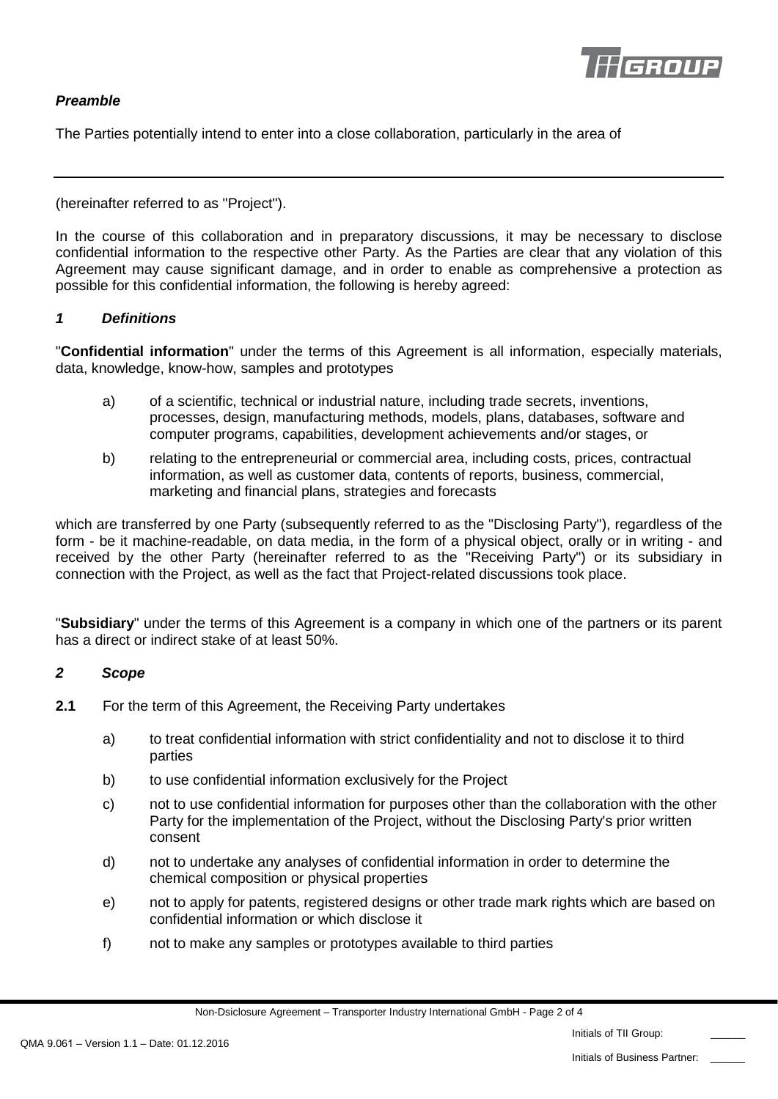

## *Preamble*

The Parties potentially intend to enter into a close collaboration, particularly in the area of

(hereinafter referred to as "Project").

In the course of this collaboration and in preparatory discussions, it may be necessary to disclose confidential information to the respective other Party. As the Parties are clear that any violation of this Agreement may cause significant damage, and in order to enable as comprehensive a protection as possible for this confidential information, the following is hereby agreed:

#### *1 Definitions*

"**Confidential information**" under the terms of this Agreement is all information, especially materials, data, knowledge, know-how, samples and prototypes

- a) of a scientific, technical or industrial nature, including trade secrets, inventions, processes, design, manufacturing methods, models, plans, databases, software and computer programs, capabilities, development achievements and/or stages, or
- b) relating to the entrepreneurial or commercial area, including costs, prices, contractual information, as well as customer data, contents of reports, business, commercial, marketing and financial plans, strategies and forecasts

which are transferred by one Party (subsequently referred to as the "Disclosing Party"), regardless of the form - be it machine-readable, on data media, in the form of a physical object, orally or in writing - and received by the other Party (hereinafter referred to as the "Receiving Party") or its subsidiary in connection with the Project, as well as the fact that Project-related discussions took place.

"**Subsidiary**" under the terms of this Agreement is a company in which one of the partners or its parent has a direct or indirect stake of at least 50%.

#### *2 Scope*

- **2.1** For the term of this Agreement, the Receiving Party undertakes
	- a) to treat confidential information with strict confidentiality and not to disclose it to third parties
	- b) to use confidential information exclusively for the Project
	- c) not to use confidential information for purposes other than the collaboration with the other Party for the implementation of the Project, without the Disclosing Party's prior written consent
	- d) not to undertake any analyses of confidential information in order to determine the chemical composition or physical properties
	- e) not to apply for patents, registered designs or other trade mark rights which are based on confidential information or which disclose it
	- f) not to make any samples or prototypes available to third parties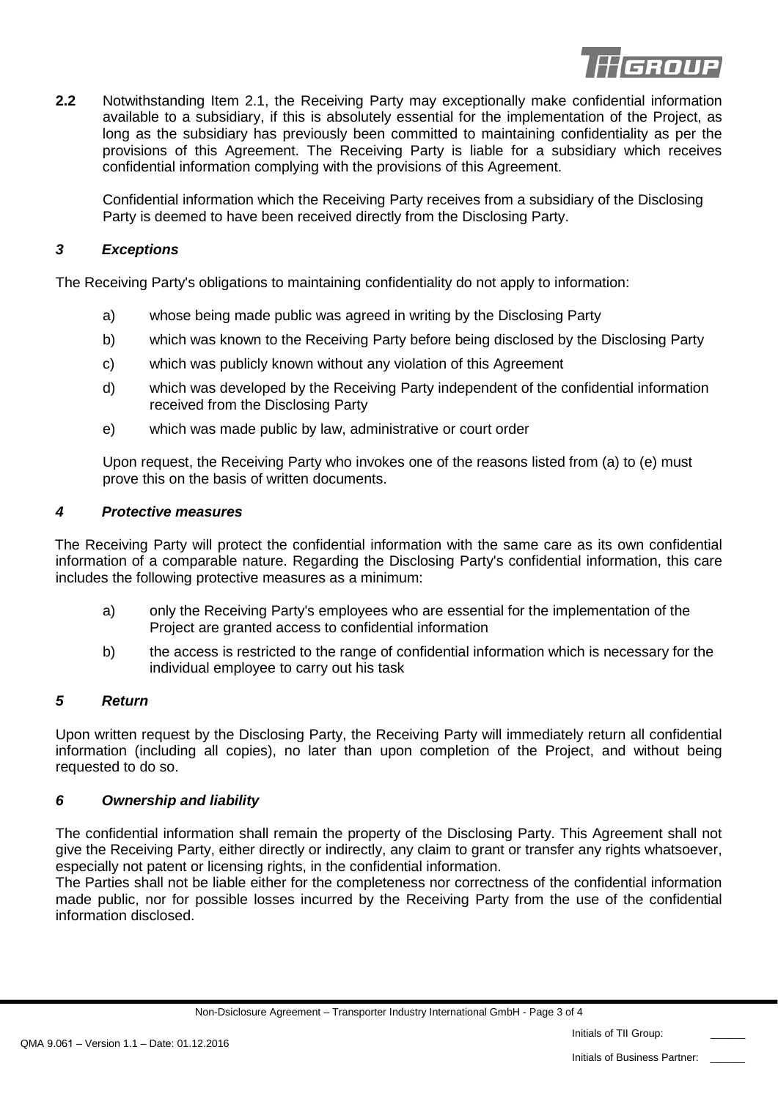

**2.2** Notwithstanding Item 2.1, the Receiving Party may exceptionally make confidential information available to a subsidiary, if this is absolutely essential for the implementation of the Project, as long as the subsidiary has previously been committed to maintaining confidentiality as per the provisions of this Agreement. The Receiving Party is liable for a subsidiary which receives confidential information complying with the provisions of this Agreement.

Confidential information which the Receiving Party receives from a subsidiary of the Disclosing Party is deemed to have been received directly from the Disclosing Party.

## *3 Exceptions*

The Receiving Party's obligations to maintaining confidentiality do not apply to information:

- a) whose being made public was agreed in writing by the Disclosing Party
- b) which was known to the Receiving Party before being disclosed by the Disclosing Party
- c) which was publicly known without any violation of this Agreement
- d) which was developed by the Receiving Party independent of the confidential information received from the Disclosing Party
- e) which was made public by law, administrative or court order

Upon request, the Receiving Party who invokes one of the reasons listed from (a) to (e) must prove this on the basis of written documents.

## *4 Protective measures*

The Receiving Party will protect the confidential information with the same care as its own confidential information of a comparable nature. Regarding the Disclosing Party's confidential information, this care includes the following protective measures as a minimum:

- a) only the Receiving Party's employees who are essential for the implementation of the Project are granted access to confidential information
- b) the access is restricted to the range of confidential information which is necessary for the individual employee to carry out his task

## *5 Return*

Upon written request by the Disclosing Party, the Receiving Party will immediately return all confidential information (including all copies), no later than upon completion of the Project, and without being requested to do so.

## *6 Ownership and liability*

The confidential information shall remain the property of the Disclosing Party. This Agreement shall not give the Receiving Party, either directly or indirectly, any claim to grant or transfer any rights whatsoever, especially not patent or licensing rights, in the confidential information.

The Parties shall not be liable either for the completeness nor correctness of the confidential information made public, nor for possible losses incurred by the Receiving Party from the use of the confidential information disclosed.